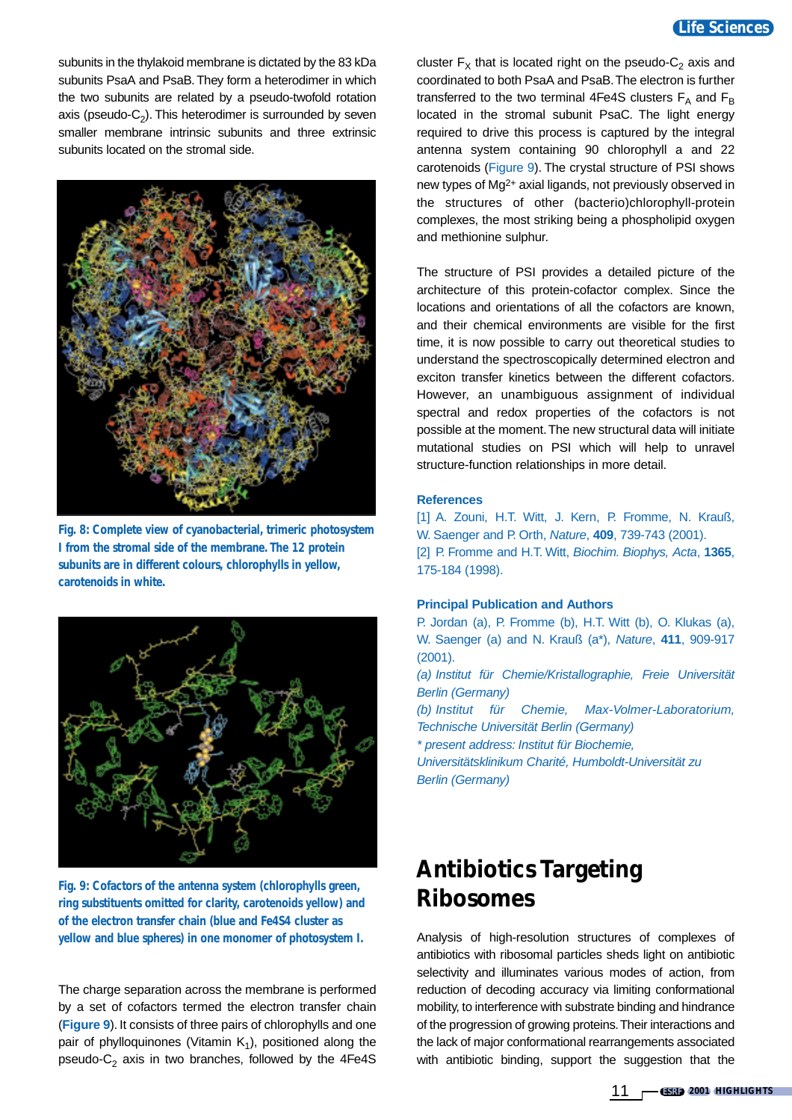subunits in the thylakoid membrane is dictated by the 83 kDa subunits PsaA and PsaB. They form a heterodimer in which the two subunits are related by a pseudo-twofold rotation axis (pseudo- $C_2$ ). This heterodimer is surrounded by seven smaller membrane intrinsic subunits and three extrinsic subunits located on the stromal side.



**Fig. 8: Complete view of cyanobacterial, trimeric photosystem I from the stromal side of the membrane. The 12 protein subunits are in different colours, chlorophylls in yellow, carotenoids in white.** 



**Fig. 9: Cofactors of the antenna system (chlorophylls green, ring substituents omitted for clarity, carotenoids yellow) and of the electron transfer chain (blue and Fe4S4 cluster as yellow and blue spheres) in one monomer of photosystem I.**

The charge separation across the membrane is performed by a set of cofactors termed the electron transfer chain (**Figure 9**). It consists of three pairs of chlorophylls and one pair of phylloquinones (Vitamin  $K_1$ ), positioned along the pseudo- $C_2$  axis in two branches, followed by the 4Fe4S

cluster  $F_X$  that is located right on the pseudo-C<sub>2</sub> axis and coordinated to both PsaA and PsaB.The electron is further transferred to the two terminal 4Fe4S clusters  $F_A$  and  $F_B$ located in the stromal subunit PsaC. The light energy required to drive this process is captured by the integral antenna system containing 90 chlorophyll a and 22 carotenoids (Figure 9). The crystal structure of PSI shows new types of Mg2+ axial ligands, not previously observed in the structures of other (bacterio)chlorophyll-protein complexes, the most striking being a phospholipid oxygen and methionine sulphur.

The structure of PSI provides a detailed picture of the architecture of this protein-cofactor complex. Since the locations and orientations of all the cofactors are known, and their chemical environments are visible for the first time, it is now possible to carry out theoretical studies to understand the spectroscopically determined electron and exciton transfer kinetics between the different cofactors. However, an unambiguous assignment of individual spectral and redox properties of the cofactors is not possible at the moment.The new structural data will initiate mutational studies on PSI which will help to unravel structure-function relationships in more detail.

#### **References**

[1] A. Zouni, H.T. Witt, J. Kern, P. Fromme, N. Krauß, W. Saenger and P. Orth, Nature, **409**, 739-743 (2001). [2] P. Fromme and H.T. Witt, Biochim. Biophys, Acta, **1365**, 175-184 (1998).

## **Principal Publication and Authors**

P. Jordan (a), P. Fromme (b), H.T. Witt (b), O. Klukas (a), W. Saenger (a) and N. Krauß (a\*), Nature, **411**, 909-917 (2001).

(a) Institut für Chemie/Kristallographie, Freie Universität Berlin (Germany)

(b) Institut für Chemie, Max-Volmer-Laboratorium, Technische Universität Berlin (Germany)

\* present address: Institut für Biochemie,

Universitätsklinikum Charité, Humboldt-Universität zu Berlin (Germany)

# **Antibiotics Targeting Ribosomes**

Analysis of high-resolution structures of complexes of antibiotics with ribosomal particles sheds light on antibiotic selectivity and illuminates various modes of action, from reduction of decoding accuracy via limiting conformational mobility, to interference with substrate binding and hindrance of the progression of growing proteins.Their interactions and the lack of major conformational rearrangements associated with antibiotic binding, support the suggestion that the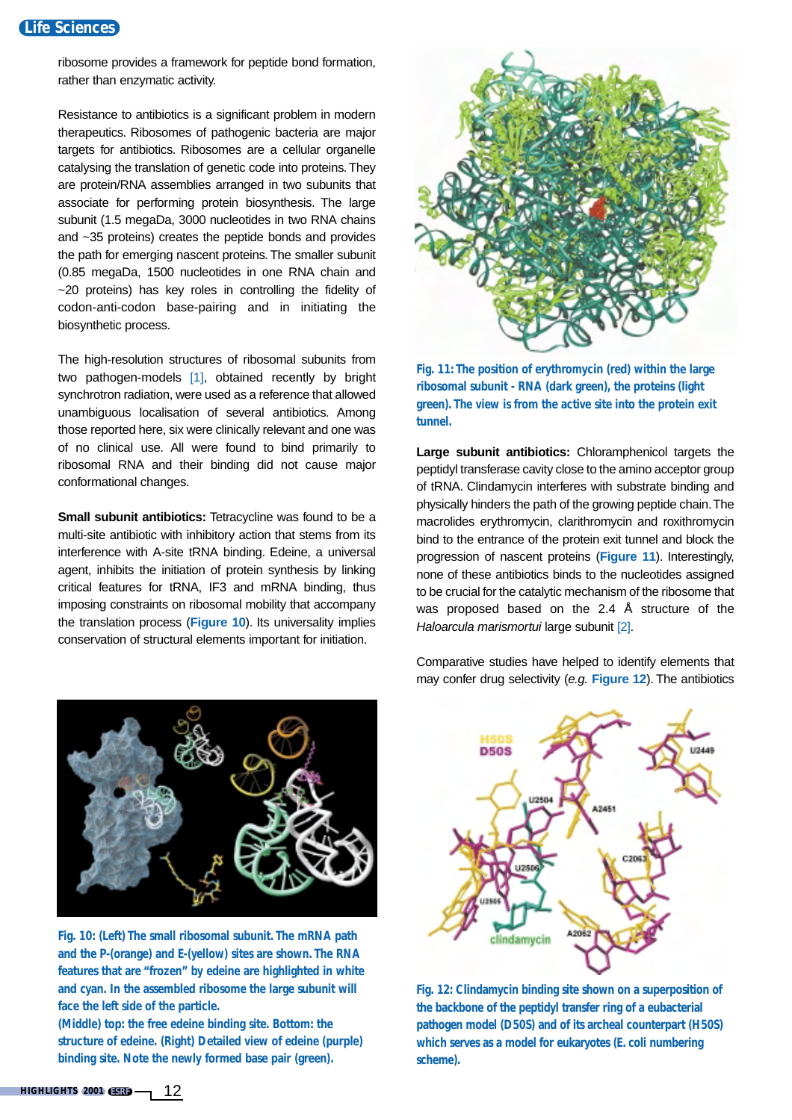## **Life Sciences**

ribosome provides a framework for peptide bond formation, rather than enzymatic activity.

Resistance to antibiotics is a significant problem in modern therapeutics. Ribosomes of pathogenic bacteria are major targets for antibiotics. Ribosomes are a cellular organelle catalysing the translation of genetic code into proteins.They are protein/RNA assemblies arranged in two subunits that associate for performing protein biosynthesis. The large subunit (1.5 megaDa, 3000 nucleotides in two RNA chains and ~35 proteins) creates the peptide bonds and provides the path for emerging nascent proteins. The smaller subunit (0.85 megaDa, 1500 nucleotides in one RNA chain and ~20 proteins) has key roles in controlling the fidelity of codon-anti-codon base-pairing and in initiating the biosynthetic process.

The high-resolution structures of ribosomal subunits from two pathogen-models [1], obtained recently by bright synchrotron radiation, were used as a reference that allowed unambiguous localisation of several antibiotics. Among those reported here, six were clinically relevant and one was of no clinical use. All were found to bind primarily to ribosomal RNA and their binding did not cause major conformational changes.

**Small subunit antibiotics:** Tetracycline was found to be a multi-site antibiotic with inhibitory action that stems from its interference with A-site tRNA binding. Edeine, a universal agent, inhibits the initiation of protein synthesis by linking critical features for tRNA, IF3 and mRNA binding, thus imposing constraints on ribosomal mobility that accompany the translation process (**Figure 10**). Its universality implies conservation of structural elements important for initiation.



**Fig. 10: (Left) The small ribosomal subunit. The mRNA path and the P-(orange) and E-(yellow) sites are shown. The RNA features that are "frozen" by edeine are highlighted in white and cyan. In the assembled ribosome the large subunit will face the left side of the particle.** 

**(Middle) top: the free edeine binding site. Bottom: the structure of edeine. (Right) Detailed view of edeine (purple) binding site. Note the newly formed base pair (green).**



**Fig. 11: The position of erythromycin (red) within the large ribosomal subunit - RNA (dark green), the proteins (light green). The view is from the active site into the protein exit tunnel.**

**Large subunit antibiotics:** Chloramphenicol targets the peptidyl transferase cavity close to the amino acceptor group of tRNA. Clindamycin interferes with substrate binding and physically hinders the path of the growing peptide chain.The macrolides erythromycin, clarithromycin and roxithromycin bind to the entrance of the protein exit tunnel and block the progression of nascent proteins (**Figure 11**). Interestingly, none of these antibiotics binds to the nucleotides assigned to be crucial for the catalytic mechanism of the ribosome that was proposed based on the 2.4 Å structure of the Haloarcula marismortui large subunit [2].

Comparative studies have helped to identify elements that may confer drug selectivity (e.g. **Figure 12**). The antibiotics



**Fig. 12: Clindamycin binding site shown on a superposition of the backbone of the peptidyl transfer ring of a eubacterial pathogen model (D50S) and of its archeal counterpart (H50S) which serves as a model for eukaryotes (***E. coli* **numbering scheme).**